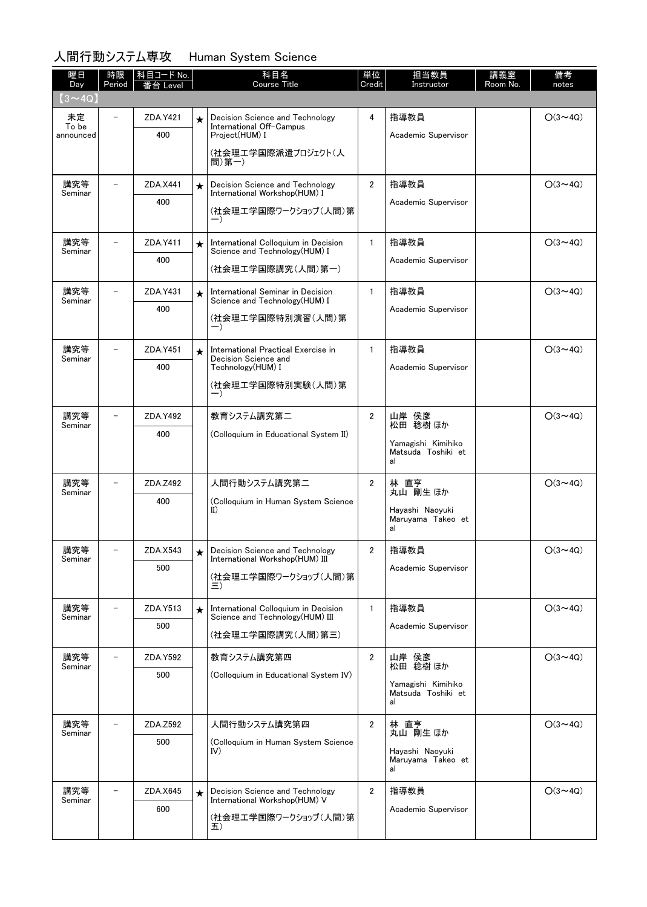## 人間行動システム専攻 Human System Science

| 曜日<br>Day          | 時限<br>Period             | 科目コード No. |         | 科目名<br><b>Course Title</b>                                                                 | 単位<br>Credit   | 担当教員<br>Instructor                       | 講義室<br>Room No. | 備考<br>notes    |
|--------------------|--------------------------|-----------|---------|--------------------------------------------------------------------------------------------|----------------|------------------------------------------|-----------------|----------------|
| $(3 \sim 4Q)$      |                          | i台 Level  |         |                                                                                            |                |                                          |                 |                |
| 未定                 | $\overline{\phantom{0}}$ | ZDA.Y421  | $\star$ | Decision Science and Technology                                                            | 4              | 指導教員                                     |                 | $O(3 \sim 4Q)$ |
| To be<br>announced |                          | 400       |         | International Off-Campus<br>Project(HUM) I                                                 |                | Academic Supervisor                      |                 |                |
|                    |                          |           |         | (社会理エ学国際派遣プロジェクト(人                                                                         |                |                                          |                 |                |
|                    |                          |           |         | 間)第一)                                                                                      |                |                                          |                 |                |
| 講究等<br>Seminar     |                          | ZDA.X441  | $\star$ | Decision Science and Technology<br>International Workshop(HUM) I                           | $\overline{2}$ | 指導教員                                     |                 | $O(3 \sim 4Q)$ |
|                    |                          | 400       |         | (社会理工学国際ワークショップ(人間)第                                                                       |                | Academic Supervisor                      |                 |                |
|                    |                          |           |         | $-$ )                                                                                      |                |                                          |                 |                |
| 講究等<br>Seminar     |                          | ZDA.Y411  | $\star$ | International Colloquium in Decision<br>Science and Technology (HUM) I                     | $\mathbf{1}$   | 指導教員                                     |                 | $O(3 \sim 4Q)$ |
|                    |                          | 400       |         | (社会理エ学国際講究(人間)第一)                                                                          |                | Academic Supervisor                      |                 |                |
| 講究等                |                          | ZDA.Y431  | $\star$ | International Seminar in Decision                                                          | $\mathbf{1}$   | 指導教員                                     |                 | $O(3 \sim 4Q)$ |
| Seminar            |                          | 400       |         | Science and Technology (HUM) I                                                             |                | Academic Supervisor                      |                 |                |
|                    |                          |           |         | (社会理工学国際特別演習(人間)第<br>$-$ )                                                                 |                |                                          |                 |                |
| 講究等                | $\overline{\phantom{0}}$ | ZDA.Y451  |         | International Practical Exercise in                                                        | $\mathbf{1}$   | 指導教員                                     |                 | $O(3 \sim 4Q)$ |
| Seminar            |                          | 400       | $\star$ | Decision Science and<br>Technology(HUM) I                                                  |                | Academic Supervisor                      |                 |                |
|                    |                          |           |         | (社会理工学国際特別実験(人間)第                                                                          |                |                                          |                 |                |
|                    |                          |           |         | $-$ )                                                                                      |                |                                          |                 |                |
| 講究等<br>Seminar     |                          | ZDA.Y492  |         | 教育システム講究第二                                                                                 | $\overline{2}$ | 山岸 侯彦<br>松田 稔樹 ほか                        |                 | $O(3 \sim 4Q)$ |
|                    |                          | 400       |         | (Colloquium in Educational System II)                                                      |                | Yamagishi Kimihiko                       |                 |                |
|                    |                          |           |         |                                                                                            |                | Matsuda Toshiki et<br>al                 |                 |                |
| 講究等                | $\overline{a}$           | ZDA.Z492  |         | 人間行動システム講究第二<br>(Colloquium in Human System Science<br>$_{II}$                             | $\overline{2}$ | 林 直亨                                     |                 | $O(3 \sim 4Q)$ |
| Seminar            |                          | 400       |         |                                                                                            |                | 丸山 剛生 ほか                                 |                 |                |
|                    |                          |           |         |                                                                                            |                | Hayashi Naoyuki<br>Maruyama Takeo et     |                 |                |
|                    |                          |           |         |                                                                                            |                | al                                       |                 |                |
| 講究等<br>Seminar     |                          | ZDA.X543  |         | Decision Science and Technology<br>International Workshop(HUM) III<br>(社会理工学国際ワークショップ(人間)第 | $\mathbf{2}$   | 指導教員<br>Academic Supervisor              |                 | $O(3 \sim 4Q)$ |
|                    |                          | 500       |         |                                                                                            |                |                                          |                 |                |
|                    |                          |           |         |                                                                                            |                |                                          |                 |                |
| 講究等<br>Seminar     |                          | ZDA.Y513  | $\star$ | International Colloquium in Decision<br>Science and Technology(HUM) III                    | $\mathbf{1}$   | 指導教員                                     | $O(3 \sim 4Q)$  |                |
|                    |                          | 500       |         | (社会理エ学国際講究(人間)第三)                                                                          |                | Academic Supervisor                      |                 |                |
| 講究等                |                          | ZDA.Y592  |         | 教育システム講究第四                                                                                 | 2              | 山岸 侯彦                                    |                 | $O(3 \sim 4Q)$ |
| Seminar            |                          | 500       |         | (Colloquium in Educational System IV)                                                      |                | 松田 稔樹 ほか                                 |                 |                |
|                    |                          |           |         |                                                                                            |                | Yamagishi Kimihiko<br>Matsuda Toshiki et |                 |                |
|                    |                          |           |         |                                                                                            |                | al                                       |                 |                |
| 講究等<br>Seminar     | $\overline{\phantom{0}}$ | ZDA.Z592  |         | 人間行動システム講究第四                                                                               | $\overline{2}$ | 林 直亨<br>丸山 剛生 ほか                         |                 | $O(3 \sim 4Q)$ |
|                    |                          | 500       |         | (Colloquium in Human System Science<br>IV)                                                 |                | Hayashi Naoyuki                          |                 |                |
|                    |                          |           |         |                                                                                            |                | Maruyama Takeo et<br>al                  |                 |                |
| 講究等                |                          | ZDA.X645  | $\star$ | Decision Science and Technology                                                            | $\overline{2}$ | 指導教員                                     |                 | $O(3 \sim 4Q)$ |
| Seminar            |                          | 600       |         | International Workshop(HUM) V                                                              |                | Academic Supervisor                      |                 |                |
|                    |                          |           |         | (社会理工学国際ワークショップ(人間)第<br>五)                                                                 |                |                                          |                 |                |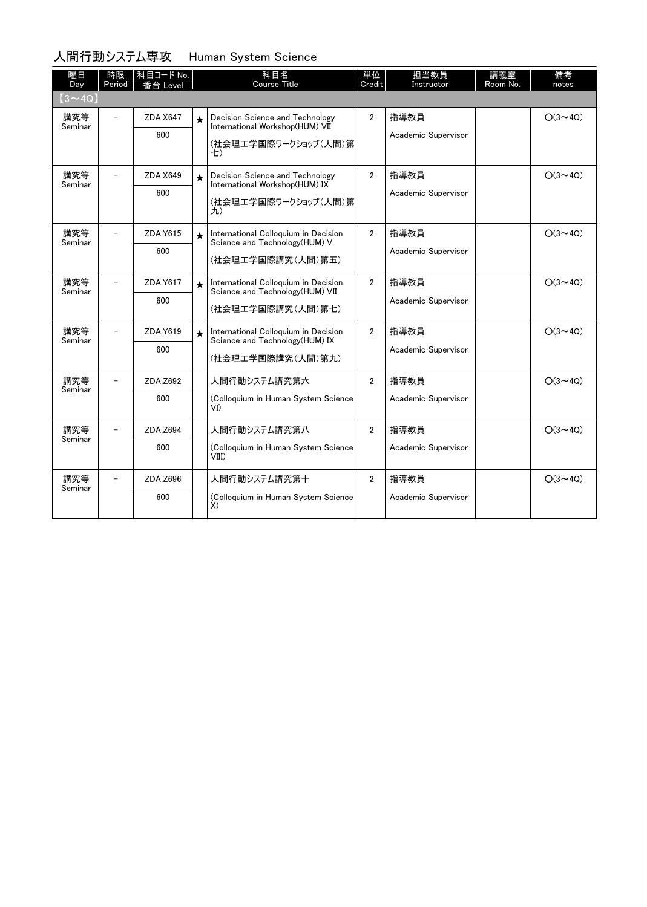### 人間行動システム専攻 Human System Science

| 曜日             | 時限      | 科目コード No. |                   | 科目名<br><b>Course Title</b>                                               | 単位<br>Credit        | 担当教員                | 講義室      | 備考             |
|----------------|---------|-----------|-------------------|--------------------------------------------------------------------------|---------------------|---------------------|----------|----------------|
| Day            | Period  | ·台 Level  |                   |                                                                          |                     | Instructor          | Room No. | notes          |
| $(3 \sim 4Q)$  |         |           |                   |                                                                          |                     |                     |          |                |
| 講究等<br>Seminar |         | ZDA.X647  | $\star$           | Decision Science and Technology<br>International Workshop(HUM) VII       | $\overline{2}$      | 指導教員                |          | $O(3 \sim 4Q)$ |
|                |         | 600       |                   | (社会理工学国際ワークショップ(人間)第<br>七)                                               |                     | Academic Supervisor |          |                |
| 講究等<br>Seminar |         | ZDA.X649  | $\star$           | Decision Science and Technology<br>International Workshop(HUM) IX        | $\overline{2}$      | 指導教員                |          | $O(3 \sim 4Q)$ |
|                |         | 600       |                   | (社会理工学国際ワークショップ(人間)第<br>九)                                               |                     | Academic Supervisor |          |                |
| 講究等            |         | ZDA.Y615  | $\bullet$         | International Colloquium in Decision<br>Science and Technology (HUM) V   | $\overline{2}$      | 指導教員                |          | $O(3 \sim 4Q)$ |
|                | Seminar | 600       |                   | (社会理工学国際講究(人間)第五)                                                        |                     | Academic Supervisor |          |                |
| 講究等<br>Seminar |         | ZDA.Y617  | $\bigstar$        | International Colloquium in Decision<br>Science and Technology (HUM) VII | $\overline{2}$      | 指導教員                |          | $O(3 \sim 4Q)$ |
|                |         | 600       | (社会理工学国際講究(人間)第七) |                                                                          | Academic Supervisor |                     |          |                |
| 講究等<br>Seminar |         | ZDA.Y619  | $\bigstar$        | International Colloquium in Decision<br>Science and Technology (HUM) IX  | $\overline{2}$      | 指導教員                |          | $O(3 \sim 4Q)$ |
|                |         | 600       |                   | (社会理工学国際講究(人間)第九)                                                        |                     | Academic Supervisor |          |                |
| 講究等<br>Seminar |         | ZDA.Z692  |                   | 人間行動システム講究第六                                                             | $\overline{2}$      | 指導教員                |          | $O(3 \sim 4Q)$ |
|                |         | 600       |                   | (Colloquium in Human System Science<br>VI)                               |                     | Academic Supervisor |          |                |
| 講究等<br>Seminar |         | ZDA.Z694  |                   | 人間行動システム講究第八                                                             | $\overline{2}$      | 指導教員                |          | $O(3 \sim 4Q)$ |
|                |         | 600       |                   | (Colloquium in Human System Science<br>VIII)                             |                     | Academic Supervisor |          |                |
| 講究等<br>Seminar |         | ZDA.Z696  |                   | 人間行動システム講究第十                                                             | $\overline{2}$      | 指導教員                |          | $O(3 \sim 4Q)$ |
|                |         | 600       |                   | (Colloquium in Human System Science<br>X)                                |                     | Academic Supervisor |          |                |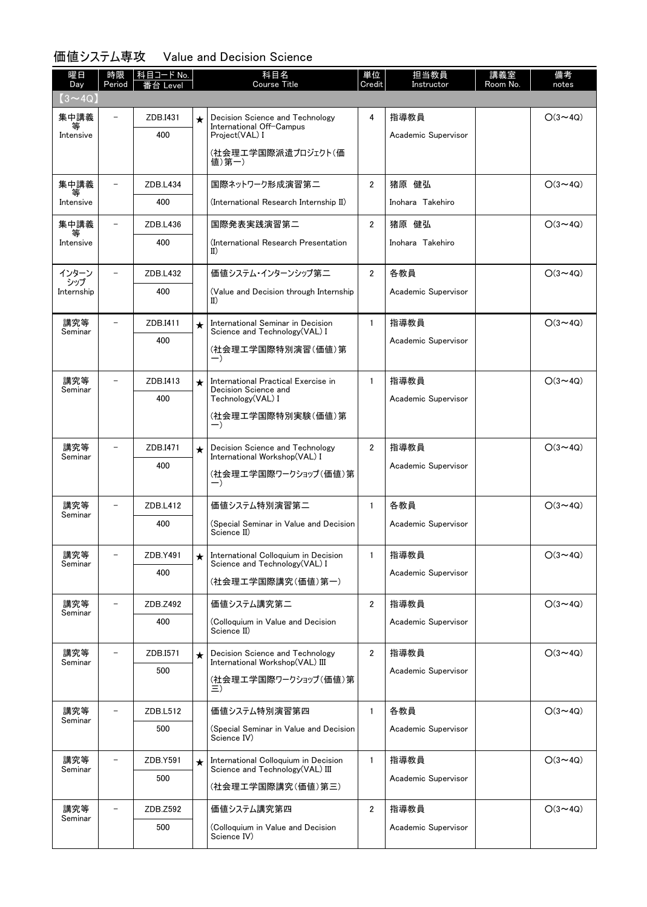### 価値システム専攻 Value and Decision Science

| 曜日<br>Day      | 時限<br>Period             | 科目コード <u>No.</u><br>_evel |           | 科目名<br>Course Title                                                     | 単位<br>Credit   | 担当教員<br>Instructor  | 講義室<br>Room No. | 備考<br>notes    |
|----------------|--------------------------|---------------------------|-----------|-------------------------------------------------------------------------|----------------|---------------------|-----------------|----------------|
| $(3 \sim 4Q)$  |                          |                           |           |                                                                         |                |                     |                 |                |
| 集中講義<br>等      |                          | ZDB.I431                  | $\star$   | Decision Science and Technology<br>International Off-Campus             | 4              | 指導教員                |                 | $O(3 \sim 4Q)$ |
| Intensive      |                          | 400                       |           | Project(VAL) I                                                          |                | Academic Supervisor |                 |                |
|                |                          |                           |           | (社会理工学国際派遣プロジェクト(価<br>値)第一)                                             |                |                     |                 |                |
| 集中講義           |                          | ZDB.L434                  |           | 国際ネットワーク形成演習第二                                                          | $\overline{2}$ | 猪原 健弘               |                 | $O(3 \sim 4Q)$ |
| Intensive      |                          | 400                       |           | (International Research Internship II)                                  |                | Inohara Takehiro    |                 |                |
| 集中講義           |                          | ZDB.L436                  |           | 国際発表実践演習第二                                                              | $\overline{2}$ | 猪原 健弘               |                 | $O(3 \sim 4Q)$ |
| Intensive      |                          | 400                       |           | (International Research Presentation<br>$_{\rm II}$                     |                | Inohara Takehiro    |                 |                |
| インターン<br>シップ   |                          | ZDB.L432                  |           | 価値システム・インターンシップ第二                                                       | $\overline{2}$ | 各教員                 |                 | $O(3 \sim 4Q)$ |
| Internship     |                          | 400                       |           | (Value and Decision through Internship<br>$_{II}$                       |                | Academic Supervisor |                 |                |
| 講究等<br>Seminar | $\overline{\phantom{0}}$ | ZDB.I411                  | $\star$   | International Seminar in Decision<br>Science and Technology(VAL) I      | $\mathbf{1}$   | 指導教員                |                 | $O(3 \sim 4Q)$ |
|                |                          | 400                       |           | (社会理工学国際特別演習(価値)第<br>$-$ )                                              |                | Academic Supervisor |                 |                |
| 講究等            | $\equiv$                 | ZDB.I413                  | $\star$   | International Practical Exercise in                                     | $\mathbf{1}$   | 指導教員                |                 | $O(3 \sim 4Q)$ |
| Seminar        |                          | 400                       |           | Decision Science and<br>Technology(VAL) I                               |                | Academic Supervisor |                 |                |
|                |                          |                           |           | (社会理工学国際特別実験(価値)第<br>$-$ )                                              |                |                     |                 |                |
| 講究等            |                          | ZDB.I471                  | $\star$   | Decision Science and Technology                                         | $\overline{2}$ | 指導教員                |                 | $O(3 \sim 4Q)$ |
| Seminar        |                          | 400                       |           | International Workshop(VAL) I<br>(社会理工学国際ワークショップ(価値)第<br>$-$ )          |                | Academic Supervisor |                 |                |
| 講究等            |                          | ZDB.L412                  |           | 価値システム特別演習第二                                                            | $\mathbf{1}$   | 各教員                 |                 | $O(3 \sim 4Q)$ |
| Seminar        |                          | 400                       |           | (Special Seminar in Value and Decision<br>Science II)                   |                | Academic Supervisor |                 |                |
| 講究等<br>Seminar |                          | ZDB.Y491                  | $\star$   | International Colloquium in Decision<br>Science and Technology(VAL) I   | $\mathbf{1}$   | 指導教員                |                 | $O(3 \sim 4Q)$ |
|                |                          | 400                       |           | (社会理工学国際講究(価値)第一)                                                       |                | Academic Supervisor |                 |                |
| 講究等<br>Seminar |                          | ZDB.Z492                  |           | 価値システム講究第二                                                              | $\overline{2}$ | 指導教員                |                 | $O(3 \sim 4Q)$ |
|                |                          | 400                       |           | (Colloquium in Value and Decision<br>Science II)                        |                | Academic Supervisor |                 |                |
| 講究等<br>Seminar |                          | ZDB.I571                  | $\bullet$ | Decision Science and Technology<br>International Workshop(VAL) III      | $\overline{2}$ | 指導教員                |                 | $O(3 \sim 4Q)$ |
|                |                          | 500                       |           | (社会理工学国際ワークショップ(価値)第<br>Ξ)                                              |                | Academic Supervisor |                 |                |
| 講究等            |                          | ZDB.L512                  |           | 価値システム特別演習第四                                                            | $\mathbf{1}$   | 各教員                 |                 | $O(3 \sim 4Q)$ |
| Seminar        |                          | 500                       |           | (Special Seminar in Value and Decision<br>Science IV)                   |                | Academic Supervisor |                 |                |
| 講究等<br>Seminar |                          | ZDB.Y591                  | $\star$   | International Colloquium in Decision<br>Science and Technology(VAL) III | $\mathbf{1}$   | 指導教員                |                 | $O(3 \sim 4Q)$ |
|                |                          | 500                       |           | (社会理工学国際講究(価値)第三)                                                       |                | Academic Supervisor |                 |                |
| 講究等<br>Seminar |                          | ZDB.Z592                  |           | 価値システム講究第四                                                              | $\overline{2}$ | 指導教員                |                 | $O(3 \sim 4Q)$ |
|                |                          | 500                       |           | (Colloquium in Value and Decision<br>Science IV)                        |                | Academic Supervisor |                 |                |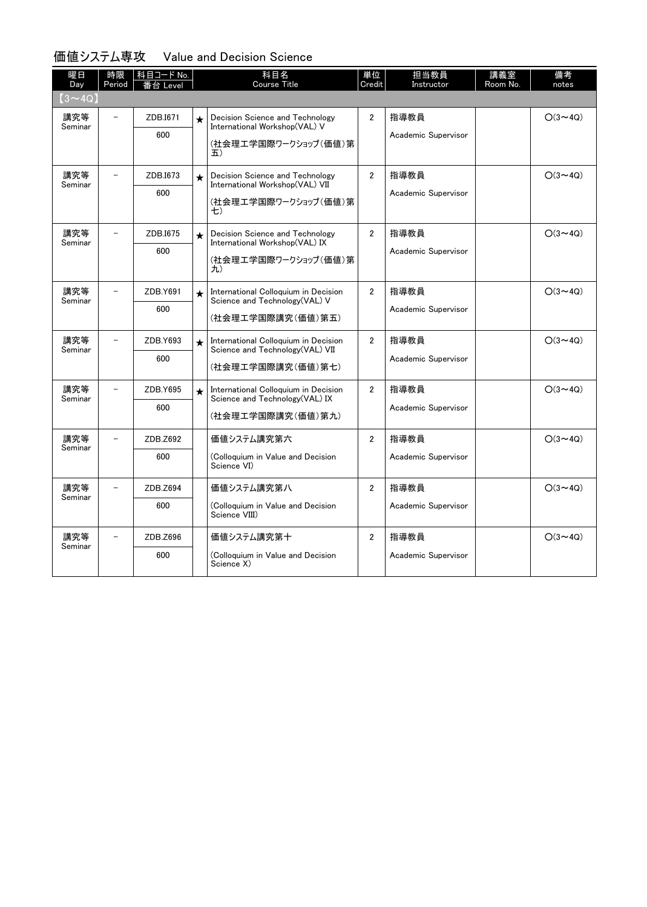#### 価値システム専攻 Value and Decision Science

| 曜日<br>Day      | 時限<br>Period | 科目コード No.<br>备 Level |         | 科目名<br><b>Course Title</b>                                                                       | 単位<br>Credit   | 担当教員<br>Instructor          | 講義室<br>Room No. | 備考<br>notes    |
|----------------|--------------|----------------------|---------|--------------------------------------------------------------------------------------------------|----------------|-----------------------------|-----------------|----------------|
| $(3 \sim 4Q)$  |              |                      |         |                                                                                                  |                |                             |                 |                |
| 講究等<br>Seminar |              | ZDB.I671<br>600      | $\star$ | Decision Science and Technology<br>International Workshop(VAL) V<br>(社会理工学国際ワークショップ(価値)第<br>五)   | $\overline{2}$ | 指導教員<br>Academic Supervisor |                 | $O(3 \sim 4Q)$ |
| 講究等<br>Seminar | $\sim$       | ZDB.I673<br>600      | $\star$ | Decision Science and Technology<br>International Workshop(VAL) VII<br>(社会理工学国際ワークショップ(価値)第<br>七) | $\overline{2}$ | 指導教員<br>Academic Supervisor |                 | $O(3 \sim 4Q)$ |
| 講究等<br>Seminar |              | ZDB.I675<br>600      | $\star$ | Decision Science and Technology<br>International Workshop(VAL) IX<br>(社会理工学国際ワークショップ(価値)第<br>九)  | $\overline{2}$ | 指導教員<br>Academic Supervisor |                 | $O(3 \sim 4Q)$ |
| 講究等<br>Seminar |              | ZDB.Y691<br>600      | $\star$ | International Colloquium in Decision<br>Science and Technology(VAL) V<br>(社会理工学国際講究(価値)第五)       | $\overline{2}$ | 指導教員<br>Academic Supervisor |                 | $O(3 \sim 4Q)$ |
| 講究等<br>Seminar |              | ZDB.Y693<br>600      | $\star$ | International Colloquium in Decision<br>Science and Technology (VAL) VII<br>(社会理工学国際講究(価値)第七)    | $\overline{2}$ | 指導教員<br>Academic Supervisor |                 | $O(3 \sim 4Q)$ |
| 講究等<br>Seminar |              | ZDB.Y695<br>600      | $\star$ | International Colloquium in Decision<br>Science and Technology (VAL) IX<br>(社会理工学国際講究(価値)第九)     | $\overline{2}$ | 指導教員<br>Academic Supervisor |                 | $O(3 \sim 4Q)$ |
| 講究等<br>Seminar |              | ZDB.Z692<br>600      |         | 価値システム講究第六<br>(Colloquium in Value and Decision<br>Science VI)                                   | $\overline{2}$ | 指導教員<br>Academic Supervisor |                 | $O(3 \sim 4Q)$ |
| 講究等<br>Seminar |              | ZDB.Z694<br>600      |         | 価値システム講究第八<br>(Colloquium in Value and Decision<br>Science VIII)                                 | $\overline{2}$ | 指導教員<br>Academic Supervisor |                 | $O(3 \sim 4Q)$ |
| 講究等<br>Seminar |              | ZDB.Z696<br>600      |         | 価値システム講究第十<br>(Colloquium in Value and Decision<br>Science X)                                    | $\overline{2}$ | 指導教員<br>Academic Supervisor |                 | $O(3 \sim 4Q)$ |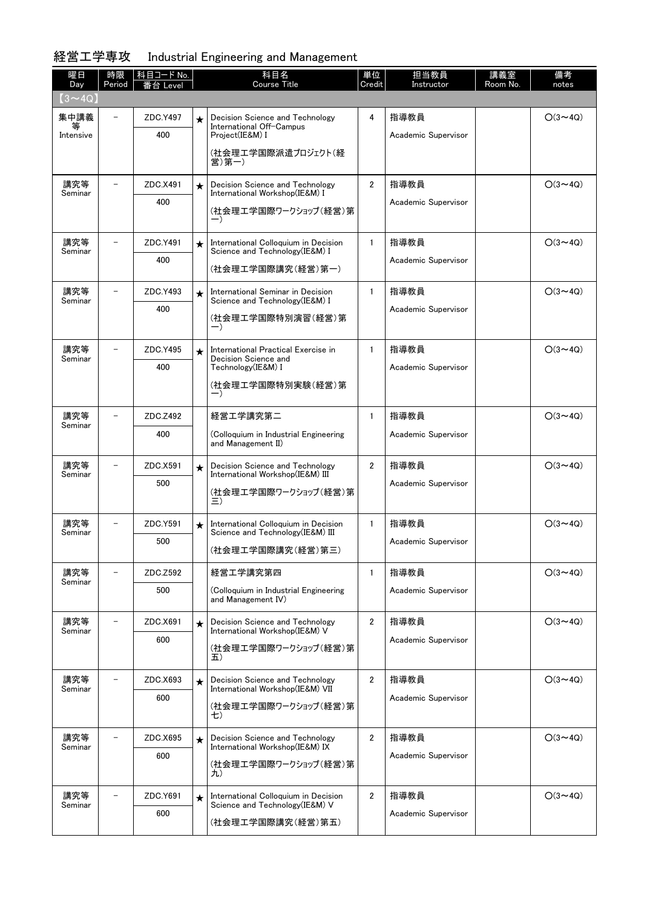### 経営工学専攻 Industrial Engineering and Management

| 曜日<br>Day      | 時限<br>Period             | 科目コード No.  <br>台 Level |         | 科目名<br><b>Course Title</b>                                               | 単位<br>Credit   | 担当教員<br>Instructor  | 講義室<br>Room No. | 備考<br>notes    |
|----------------|--------------------------|------------------------|---------|--------------------------------------------------------------------------|----------------|---------------------|-----------------|----------------|
| $(3 \sim 4Q)$  |                          |                        |         |                                                                          |                |                     |                 |                |
| 集中講義           |                          | ZDC.Y497               | $\star$ | Decision Science and Technology                                          | 4              | 指導教員                |                 | $O(3 \sim 4Q)$ |
| Intensive      |                          | 400                    |         | International Off-Campus<br>Project(IE&M) I                              |                | Academic Supervisor |                 |                |
|                |                          |                        |         | (社会理工学国際派遣プロジェクト(経<br>営)第一)                                              |                |                     |                 |                |
| 講究等<br>Seminar |                          | ZDC.X491               | $\star$ | Decision Science and Technology<br>International Workshop(IE&M) I        | $\overline{2}$ | 指導教員                |                 | $O(3 \sim 4Q)$ |
|                |                          | 400                    |         | (社会理工学国際ワークショップ(経営)第<br>$-$ )                                            |                | Academic Supervisor |                 |                |
| 講究等<br>Seminar |                          | ZDC.Y491               | $\star$ | International Colloquium in Decision<br>Science and Technology(IE&M) I   | $\mathbf{1}$   | 指導教員                |                 | $O(3 \sim 4Q)$ |
|                |                          | 400                    |         | (社会理工学国際講究(経営)第一)                                                        |                | Academic Supervisor |                 |                |
| 講究等<br>Seminar |                          | ZDC.Y493               | $\star$ | International Seminar in Decision<br>Science and Technology(IE&M) I      | $\mathbf{1}$   | 指導教員                |                 | $O(3 \sim 4Q)$ |
|                |                          | 400                    |         | (社会理工学国際特別演習(経営)第<br>$-$ )                                               |                | Academic Supervisor |                 |                |
| 講究等<br>Seminar | $\overline{\phantom{0}}$ | ZDC.Y495               | $\star$ | International Practical Exercise in<br>Decision Science and              | $\mathbf{1}$   | 指導教員                |                 | $O(3 \sim 4Q)$ |
|                |                          | 400                    |         | Technology(IE&M) I                                                       |                | Academic Supervisor |                 |                |
|                |                          |                        |         | (社会理工学国際特別実験(経営)第<br>—)                                                  |                |                     |                 |                |
| 講究等<br>Seminar |                          | ZDC.Z492               |         | 経営工学講究第二                                                                 | $\mathbf{1}$   | 指導教員                |                 | $O(3 \sim 4Q)$ |
|                |                          | 400                    |         | (Colloquium in Industrial Engineering<br>and Management II)              |                | Academic Supervisor |                 |                |
| 講究等<br>Seminar |                          | ZDC.X591               | $\star$ | Decision Science and Technology<br>International Workshop(IE&M) III      | $\overline{2}$ | 指導教員                |                 | $O(3 \sim 4Q)$ |
|                |                          | 500                    |         | (社会理工学国際ワークショップ(経営)第                                                     |                | Academic Supervisor |                 |                |
|                |                          |                        |         | 三)                                                                       |                |                     |                 |                |
| 講究等<br>Seminar |                          | ZDC.Y591               | $\star$ | International Colloquium in Decision<br>Science and Technology(IE&M) III | $\mathbf{1}$   | 指導教員                |                 | $O(3 \sim 4Q)$ |
|                |                          | 500                    |         | (社会理工学国際講究(経営)第三)                                                        |                | Academic Supervisor |                 |                |
| 講究等<br>Seminar |                          | ZDC.Z592               |         | 経営工学講究第四                                                                 | 1              | 指導教員                |                 | $O(3 \sim 4Q)$ |
|                |                          | 500                    |         | (Colloquium in Industrial Engineering<br>and Management IV)              |                | Academic Supervisor |                 |                |
| 講究等<br>Seminar |                          | ZDC.X691               | $\star$ | Decision Science and Technology<br>International Workshop(IE&M) V        | $\overline{2}$ | 指導教員                |                 | $O(3 \sim 4Q)$ |
|                |                          | 600                    |         | (社会理工学国際ワークショップ(経営)第<br>五)                                               |                | Academic Supervisor |                 |                |
| 講究等<br>Seminar |                          | ZDC.X693               | $\star$ | Decision Science and Technology                                          | $\overline{2}$ | 指導教員                |                 | $O(3 \sim 4Q)$ |
|                |                          | 600                    |         | International Workshop(IE&M) VII<br>(社会理工学国際ワークショップ(経営)第                 |                | Academic Supervisor |                 |                |
|                |                          |                        |         | 七)                                                                       |                |                     |                 |                |
| 講究等<br>Seminar |                          | ZDC.X695               | $\star$ | Decision Science and Technology<br>International Workshop(IE&M) IX       | $\overline{2}$ | 指導教員                |                 | $O(3 \sim 4Q)$ |
|                |                          | 600                    |         | (社会理工学国際ワークショップ(経営)第                                                     |                | Academic Supervisor |                 |                |
|                |                          |                        |         | 九)                                                                       |                |                     |                 |                |
| 講究等<br>Seminar |                          | ZDC.Y691               | $\star$ | International Colloquium in Decision<br>Science and Technology (IE&M) V  | $\overline{2}$ | 指導教員                |                 | $O(3 \sim 4Q)$ |
|                |                          | 600                    |         | (社会理工学国際講究(経営)第五)                                                        |                | Academic Supervisor |                 |                |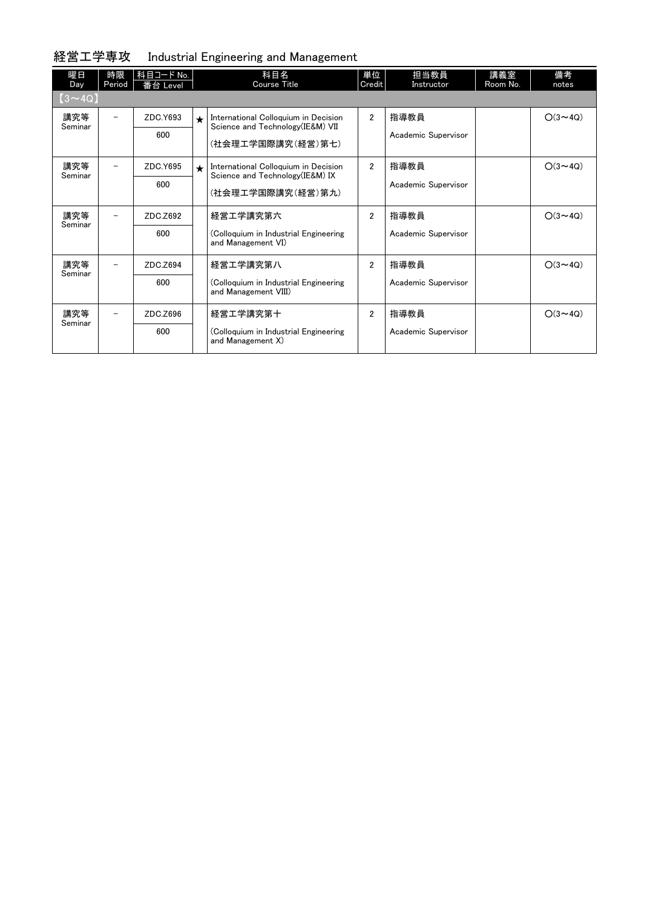### 経営工学専攻 Industrial Engineering and Management

| 曜日<br>Day      | 時限<br>Period | 科目コード No.<br>番台 Level |         | 科目名<br>Course Title                                                       | 単位<br>Credit   | 担当教員<br>Instructor  | 講義室<br>Room No. | 備考<br>notes    |
|----------------|--------------|-----------------------|---------|---------------------------------------------------------------------------|----------------|---------------------|-----------------|----------------|
| $(3 \sim 4Q)$  |              |                       |         |                                                                           |                |                     |                 |                |
| 講究等<br>Seminar |              | ZDC.Y693              | $\star$ | International Colloquium in Decision<br>Science and Technology (IE&M) VII | $\overline{2}$ | 指導教員                |                 | $O(3 \sim 4Q)$ |
|                |              | 600                   |         | (社会理工学国際講究(経営)第七)                                                         |                | Academic Supervisor |                 |                |
| 講究等<br>Seminar |              | ZDC.Y695              | $\star$ | International Colloquium in Decision<br>Science and Technology (IE&M) IX  | $\overline{2}$ | 指導教員                |                 | $O(3 \sim 4Q)$ |
|                |              | 600                   |         | (社会理工学国際講究(経営)第九)                                                         |                | Academic Supervisor |                 |                |
| 講究等<br>Seminar |              | ZDC.Z692              |         | 経営工学講究第六                                                                  | $\overline{2}$ | 指導教員                |                 | $O(3 \sim 4Q)$ |
|                |              | 600                   |         | (Colloquium in Industrial Engineering<br>and Management VI)               |                | Academic Supervisor |                 |                |
| 講究等<br>Seminar |              | ZDC.Z694              |         | 経営工学講究第八                                                                  | $\overline{2}$ | 指導教員                |                 | $O(3 \sim 4Q)$ |
|                |              | 600                   |         | (Colloquium in Industrial Engineering<br>and Management VIII)             |                | Academic Supervisor |                 |                |
| 講究等<br>Seminar |              | ZDC.Z696              |         | 経営工学講究第十                                                                  | $\overline{2}$ | 指導教員                |                 | $O(3 \sim 4Q)$ |
|                |              | 600                   |         | (Colloquium in Industrial Engineering<br>and Management X)                |                | Academic Supervisor |                 |                |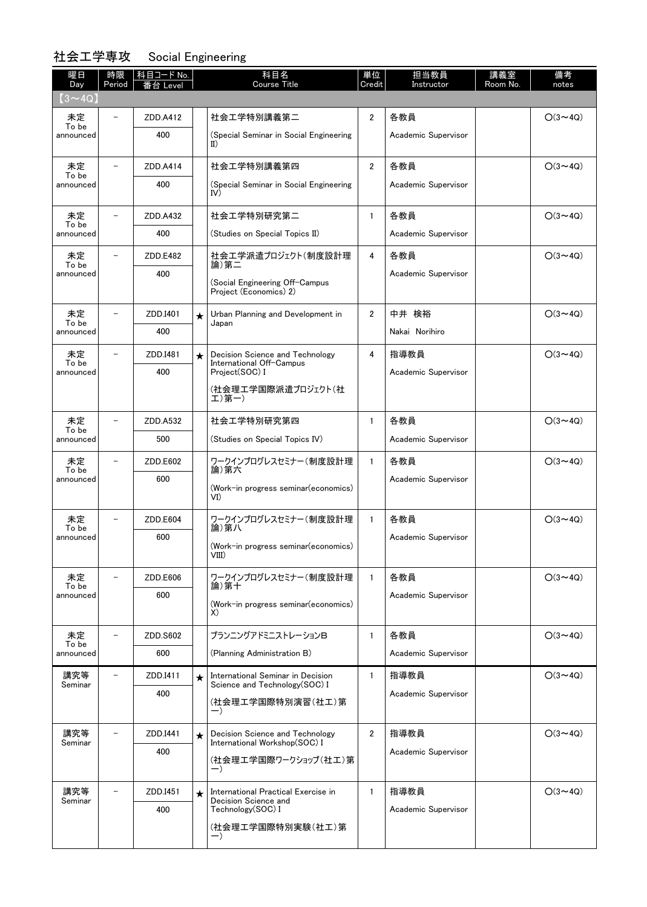### 社会工学専攻 Social Engineering

| 曜日<br>Day          | 時限<br>Period             | │ 科目コード No.<br>:台 Level |         | 科目名<br><b>Course Title</b>                                          | 単位<br>Credit   | 担当教員<br>Instructor  | 講義室<br>Room No. | 備考<br>notes    |
|--------------------|--------------------------|-------------------------|---------|---------------------------------------------------------------------|----------------|---------------------|-----------------|----------------|
| $(3 \sim 4Q)$      |                          |                         |         |                                                                     |                |                     |                 |                |
| 未定                 | $\qquad \qquad -$        | ZDD.A412                |         | 社会工学特別講義第二                                                          | $\overline{2}$ | 各教員                 |                 | $O(3 \sim 4Q)$ |
| To be<br>announced |                          | 400                     |         | (Special Seminar in Social Engineering<br>$_{\rm II}$               |                | Academic Supervisor |                 |                |
| 未定<br>To be        |                          | ZDD.A414                |         | 社会工学特別講義第四                                                          | $\overline{2}$ | 各教員                 |                 | $O(3 \sim 4Q)$ |
| announced          |                          | 400                     |         | (Special Seminar in Social Engineering<br>IV)                       |                | Academic Supervisor |                 |                |
| 未定<br>To be        |                          | ZDD.A432                |         | 社会工学特別研究第二                                                          | $\mathbf{1}$   | 各教員                 |                 | $O(3 \sim 4Q)$ |
| announced          |                          | 400                     |         | (Studies on Special Topics II)                                      |                | Academic Supervisor |                 |                |
| 未定<br>To be        |                          | ZDD.E482                |         | 社会工学派遣プロジェクト(制度設計理<br>論)第二                                          | 4              | 各教員                 |                 | $O(3 \sim 4Q)$ |
| announced          |                          | 400                     |         | (Social Engineering Off-Campus<br>Project (Economics) 2)            |                | Academic Supervisor |                 |                |
| 未定<br>To be        |                          | ZDD.I401                | $\star$ | Urban Planning and Development in<br>Japan                          | 2              | 中井 検裕               |                 | $O(3 \sim 4Q)$ |
| announced          |                          | 400                     |         |                                                                     |                | Nakai Norihiro      |                 |                |
| 未定<br>To be        |                          | ZDD.I481                | $\star$ | Decision Science and Technology<br>International Off-Campus         | 4              | 指導教員                |                 | $O(3 \sim 4Q)$ |
| announced          |                          | 400                     |         | Project(SOC) I<br>(社会理工学国際派遣プロジェクト(社<br>工)第一)                       |                | Academic Supervisor |                 |                |
| 未定                 | $\overline{\phantom{0}}$ | ZDD.A532                |         | 社会工学特別研究第四                                                          | $\mathbf{1}$   | 各教員                 |                 | $O(3 \sim 4Q)$ |
| To be<br>announced |                          | 500                     |         | (Studies on Special Topics IV)                                      |                | Academic Supervisor |                 |                |
| 未定<br>To be        |                          | ZDD.E602                |         | ワークインプログレスセミナー(制度設計理<br>論)第六                                        | $\mathbf{1}$   | 各教員                 |                 | $O(3 \sim 4Q)$ |
| announced          |                          | 600                     |         | (Work-in progress seminar (economics)<br>VI)                        |                | Academic Supervisor |                 |                |
| 未定<br>To be        |                          | ZDD.E604                |         | ワークインプログレスセミナー(制度設計理<br>論)第八                                        | $\mathbf{1}$   | 各教員                 |                 | $O(3 \sim 4Q)$ |
| announced          |                          | 600                     |         | (Work-in progress seminar(economics)<br>VIII)                       |                | Academic Supervisor |                 |                |
| 未定<br>To be        |                          | ZDD.E606                |         | ワークインプログレスセミナー(制度設計理<br>論)第十                                        | $\mathbf{1}$   | 各教員                 |                 | $O(3 \sim 4Q)$ |
| announced          |                          | 600                     |         | (Work-in progress seminar(economics)<br>X)                          |                | Academic Supervisor |                 |                |
| 未定<br>To be        | $\overline{\phantom{0}}$ | ZDD.S602                |         | プランニングアドミニストレーションB                                                  | $\mathbf{1}$   | 各教員                 |                 | $O(3 \sim 4Q)$ |
| announced          |                          | 600                     |         | (Planning Administration B)                                         |                | Academic Supervisor |                 |                |
| 講究等<br>Seminar     |                          | ZDD.I411                | $\star$ | International Seminar in Decision<br>Science and Technology (SOC) I | $\mathbf{1}$   | 指導教員                |                 | $O(3 \sim 4Q)$ |
|                    |                          | 400                     |         | (社会理工学国際特別演習(社工)第<br>$-$ )                                          |                | Academic Supervisor |                 |                |
| 講究等<br>Seminar     | $\overline{\phantom{0}}$ | ZDD.I441                | $\star$ | Decision Science and Technology<br>International Workshop(SOC) I    | $\overline{2}$ | 指導教員                |                 | $O(3 \sim 4Q)$ |
|                    |                          | 400                     |         | (社会理工学国際ワークショップ(社工)第                                                |                | Academic Supervisor |                 |                |
|                    |                          |                         |         | $-$ )                                                               |                |                     |                 |                |
| 講究等<br>Seminar     |                          | ZDD.I451                | $\star$ | International Practical Exercise in<br>Decision Science and         | $\mathbf{1}$   | 指導教員                |                 | $O(3 \sim 4Q)$ |
|                    |                          | 400                     |         | Technology(SOC) I                                                   |                | Academic Supervisor |                 |                |
|                    |                          |                         |         | (社会理工学国際特別実験(社工)第<br>$-$ )                                          |                |                     |                 |                |